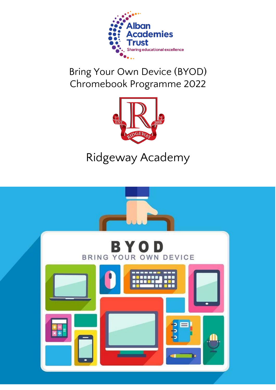

## Bring Your Own Device (BYOD) Chromebook Programme 2022



# Ridgeway Academy

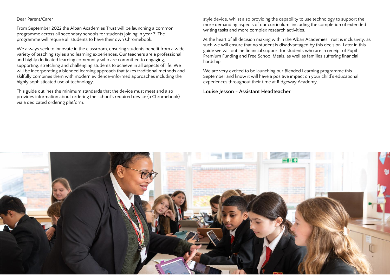#### Dear Parent/Carer

From September 2022 the Alban Academies Trust will be launching a common programme across all secondary schools for students joining in year 7. The programme will require all students to have their own Chromebook.

We always seek to innovate in the classroom, ensuring students benefit from a wide variety of teaching styles and learning experiences. Our teachers are a professional and highly dedicated learning community who are committed to engaging, supporting, stretching and challenging students to achieve in all aspects of life. We will be incorporating a blended learning approach that takes traditional methods and skilfully combines them with modern evidence-informed approaches including the highly sophisticated use of technology.

This guide outlines the minimum standards that the device must meet and also provides information about ordering the school's required device (a Chromebook) via a dedicated ordering platform.

style device, whilst also providing the capability to use technology to support the more demanding aspects of our curriculum, including the completion of extended writing tasks and more complex research activities.

At the heart of all decision making within the Alban Academies Trust is inclusivity; as such we will ensure that no student is disadvantaged by this decision. Later in this guide we will outline financial support for students who are in receipt of Pupil Premium Funding and Free School Meals, as well as families suffering financial hardship.

We are very excited to be launching our Blended Learning programme this September and know it will have a positive impact on your child's educational experiences throughout their time at Ridgeway Academy.

#### **Louise Jesson - Assistant Headteacher**

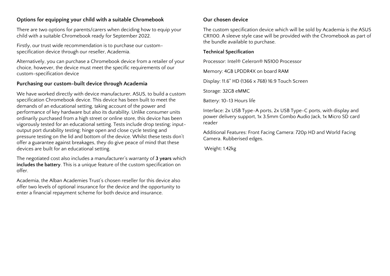## **Options for equipping your child with a suitable Chromebook**

There are two options for parents/carers when deciding how to equip your child with a suitable Chromebook ready for September 2022.

Firstly, our trust wide recommendation is to purchase our customspecification device through our reseller, Academia.

Alternatively, you can purchase a Chromebook device from a retailer of your choice, however, the device must meet the specific requirements of our custom-specification device

## **Purchasing our custom-built device through Academia**

We have worked directly with device manufacturer, ASUS, to build a custom specification Chromebook device. This device has been built to meet the demands of an educational setting, taking account of the power and performance of key hardware but also its durability. Unlike consumer units ordinarily purchased from a high street or online store, this device has been vigorously tested for an educational setting. Tests include drop testing; inputoutput port durability testing; hinge open and close cycle testing and pressure testing on the lid and bottom of the device. Whilst these tests don't offer a guarantee against breakages, they do give peace of mind that these devices are built for an educational setting.

The negotiated cost also includes a manufacturer's warranty of **3 years** which **includes the battery**. This is a unique feature of the custom specification on offer.

Academia, the Alban Academies Trust's chosen reseller for this device also offer two levels of optional insurance for the device and the opportunity to enter a financial repayment scheme for both device and insurance.

## **Our chosen device**

The custom specification device which will be sold by Academia is the ASUS CR1100. A sleeve style case will be provided with the Chromebook as part of the bundle available to purchase.

## **Technical Specification**

Processor: Intel® Celeron® N5100 Processor

Memory: 4GB LPDDR4X on board RAM

Display: 11.6" HD (1366 x 768) 16:9 Touch Screen

Storage: 32GB eMMC

Battery: 10-13 Hours life

Interface: 2x USB Type-A ports, 2x USB Type-C ports, with display and power delivery support, 1x 3.5mm Combo Audio Jack, 1x Micro SD card reader

Additional Features: Front Facing Camera: 720p HD and World Facing Camera. Rubberised edges.

Weight: 1.42kg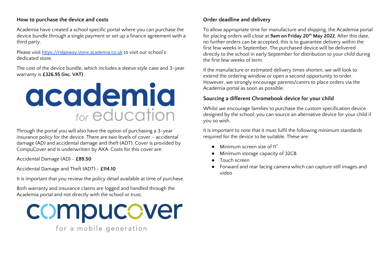#### **How to purchase the device and costs**

Academia have created a school specific portal where you can purchase the device bundle through a single payment or set up a finance agreement with a third party.

Please visit [https://ridgeway.store.academia.co.uk](https://ridgeway.store.academia.co.uk/) to visit our school's dedicated store.

The cost of the device bundle, which includes a sleeve style case and 3-year warranty is **£326.95 (inc. VAT)** .



Through the portal you will also have the option of purchasing a 3-year insurance policy for the device. There are two levels of cover – accidental damage (AD) and accidental damage and theft (ADT). Cover is provided by CompuCover and is underwritten by AXA. Costs for this cover are:

Accidental Damage (AD) - **£89.50**

Accidental Damage and Theft (ADT) - **£114.10**

It is important that you review the policy detail available at time of purchase.

Both warranty and insurance claims are logged and handled through the Academia portal and not directly with the school or trust.



for a mobile generation

## **Order deadline and delivery**

To allow appropriate time for manufacture and shipping, the Academia portal for placing orders will close at **9am on Friday 20th May 2022**. After this date, no further orders can be accepted, this is to guarantee delivery within the first few weeks in September. The purchased device will be delivered directly to the school in early September for distribution to your child during the first few weeks of term.

If the manufacture or estimated delivery times shorten, we will look to extend the ordering window or open a second opportunity to order. However, we strongly encourage parents/carers to place orders via the Academia portal as soon as possible.

## **Sourcing a different Chromebook device for your child**

Whilst we encourage families to purchase the custom specification device designed by the school, you can source an alternative device for your child if you so wish.

It is important to note that it must fulfil the following minimum standards required for the device to be suitable. These are:

- Minimum screen size of 11"
- Minimum storage capacity of 32GB
- Touch screen
- Forward and rear facing camera which can capture still images and video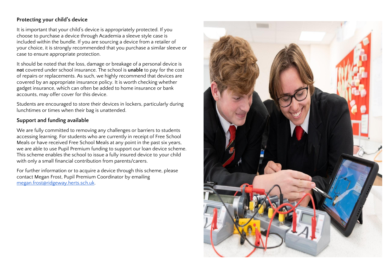## **Protecting your child's device**

It is important that your child's device is appropriately protected. If you choose to purchase a device through Academia a sleeve style case is included within the bundle. If you are sourcing a device from a retailer of your choice, it is strongly recommended that you purchase a similar sleeve or case to ensure appropriate protection.

It should be noted that the loss, damage or breakage of a personal device is **not** covered under school insurance. The school is **unable** to pay for the cost of repairs or replacements. As such, we highly recommend that devices are covered by an appropriate insurance policy. It is worth checking whether gadget insurance, which can often be added to home insurance or bank accounts, may offer cover for this device.

Students are encouraged to store their devices in lockers, particularly during lunchtimes or times when their bag is unattended.

## **Support and funding available**

We are fully committed to removing any challenges or barriers to students accessing learning. For students who are currently in receipt of Free School Meals or have received Free School Meals at any point in the past six years, we are able to use Pupil Premium funding to support our loan device scheme. This scheme enables the school to issue a fully insured device to your child with only a small financial contribution from parents/carers.

For further information or to acquire a device through this scheme, please contact Megan Frost, Pupil Premium Coordinator by emailing [megan.frost@ridgeway.herts.sch.uk.](mailto:megan.frost@ridgeway.herts.sch.uk)

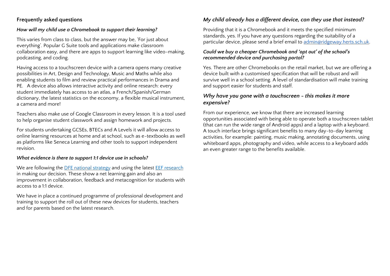## **Frequently asked questions**

## *How will my child use a Chromebook to support their learning?*

This varies from class to class, but the answer may be, 'For just about everything'. Popular G Suite tools and applications make classroom collaboration easy, and there are apps to support learning like video-making, podcasting, and coding.

Having access to a touchscreen device with a camera opens many creative possibilities in Art, Design and Technology, Music and Maths while also enabling students to film and review practical performances in Drama and PE. A device also allows interactive activity and online research: every student immediately has access to an atlas, a French/Spanish/German dictionary, the latest statistics on the economy, a flexible musical instrument, a camera and more!

Teachers also make use of Google Classroom in every lesson. It is a tool used to help organise student classwork and assign homework and projects.

For students undertaking GCSEs, BTECs and A Levels it will allow access to online learning resources at home and at school, such as e-textbooks as well as platforms like Seneca Learning and other tools to support independent revision.

## *What evidence is there to support 1:1 device use in schools?*

We are following the **DFE** national strategy and using the latest **EEF** research in making our decision. These show a net learning gain and also an improvement in collaboration, feedback and metacognition for students with access to a 1:1 device.

We have in place a continued programme of professional development and training to support the roll out of these new devices for students, teachers and for parents based on the latest research.

## *My child already has a different device, can they use that instead?*

Providing that it is a Chromebook and it meets the specified minimum standards, yes. If you have any questions regarding the suitability of a particular device, please send a brief email to [admin@ridgeway.herts.sch.uk.](mailto:admin@ridgeway.herts.sch.uk)

## *Could we buy a cheaper Chromebook and 'opt out' of the school's recommended device and purchasing portal?*

Yes. There are other Chromebooks on the retail market, but we are offering a device built with a customised specification that will be robust and will survive well in a school setting. A level of standardisation will make training and support easier for students and staff.

## *Why have you gone with a touchscreen - this makes it more expensive?*

From our experience, we know that there are increased learning opportunities associated with being able to operate both a touchscreen tablet (that can run the wide range of Android apps) and a laptop with a keyboard. A touch interface brings significant benefits to many day-to-day learning activities, for example: painting, music making, annotating documents, using whiteboard apps, photography and video, while access to a keyboard adds an even greater range to the benefits available.